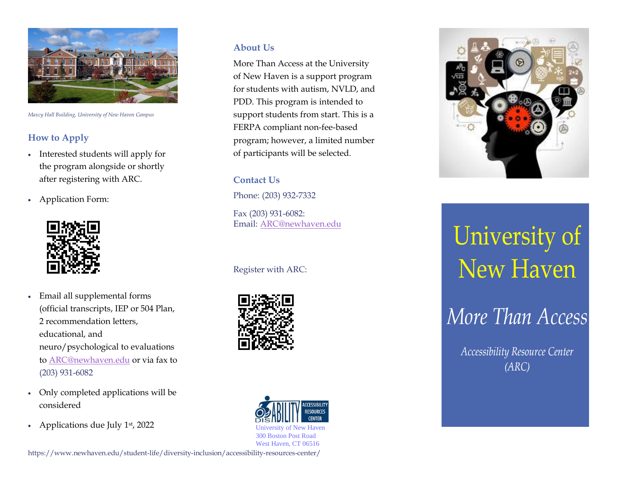

*Maxcy Hall Building, University of New Haven Campus*

### **How to Apply**

- Interested students will apply for the program alongside or shortly after registering with ARC.
- Application Form:



- Email all supplemental forms (official transcripts, IEP or 504 Plan, 2 recommendation letters, educational, and neuro/psychological to evaluations t[o ARC@newhaven.edu](mailto:ARC@newhaven.edu) or via fax to (203) 931-6082
- Only completed applications will be considered
- Applications due July  $1<sup>st</sup>$ , 2022

#### **About Us**

More Than Access at the University of New Haven is a support program for students with autism, NVLD, and PDD. This program is intended to support students from start. This is a FERPA compliant non-fee-based program; however, a limited number of participants will be selected.

#### **Contact Us**

Phone: (203) 932-7332

Fax (203) 931-6082: Email: [ARC@newhaven.edu](mailto:ARC@newhaven.edu)

#### [Register with ARC:](mailto:JIrion@newhaven.edu)







# University of<br>New Haven

# More Than Access

Accessibility Resource Center  $(ARC)$